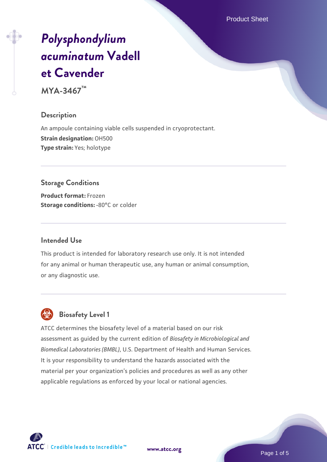Product Sheet

# *[Polysphondylium](https://www.atcc.org/products/mya-3467) [acuminatum](https://www.atcc.org/products/mya-3467)* **[Vadell](https://www.atcc.org/products/mya-3467) [et Cavender](https://www.atcc.org/products/mya-3467)**

**MYA-3467™**

# **Description**

An ampoule containing viable cells suspended in cryoprotectant. **Strain designation:** OH500 **Type strain:** Yes; holotype

# **Storage Conditions**

**Product format:** Frozen **Storage conditions: -80°C or colder** 

#### **Intended Use**

This product is intended for laboratory research use only. It is not intended for any animal or human therapeutic use, any human or animal consumption, or any diagnostic use.

# **Biosafety Level 1**

ATCC determines the biosafety level of a material based on our risk assessment as guided by the current edition of *Biosafety in Microbiological and Biomedical Laboratories (BMBL)*, U.S. Department of Health and Human Services. It is your responsibility to understand the hazards associated with the material per your organization's policies and procedures as well as any other applicable regulations as enforced by your local or national agencies.

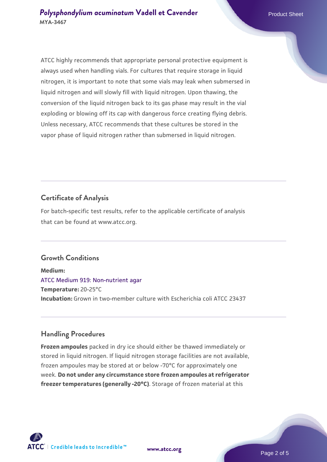ATCC highly recommends that appropriate personal protective equipment is always used when handling vials. For cultures that require storage in liquid nitrogen, it is important to note that some vials may leak when submersed in liquid nitrogen and will slowly fill with liquid nitrogen. Upon thawing, the conversion of the liquid nitrogen back to its gas phase may result in the vial exploding or blowing off its cap with dangerous force creating flying debris. Unless necessary, ATCC recommends that these cultures be stored in the vapor phase of liquid nitrogen rather than submersed in liquid nitrogen.

# **Certificate of Analysis**

For batch-specific test results, refer to the applicable certificate of analysis that can be found at www.atcc.org.

# **Growth Conditions**

**Medium:**  [ATCC Medium 919: Non-nutrient agar](https://www.atcc.org/-/media/product-assets/documents/microbial-media-formulations/9/1/9/atcc-medium-919.pdf?rev=f4e1e31d2b4249c2a4e4c31a4c703c9e) **Temperature:** 20-25°C **Incubation:** Grown in two-member culture with Escherichia coli ATCC 23437

#### **Handling Procedures**

**Frozen ampoules** packed in dry ice should either be thawed immediately or stored in liquid nitrogen. If liquid nitrogen storage facilities are not available, frozen ampoules may be stored at or below -70°C for approximately one week. **Do not under any circumstance store frozen ampoules at refrigerator freezer temperatures (generally -20°C)**. Storage of frozen material at this

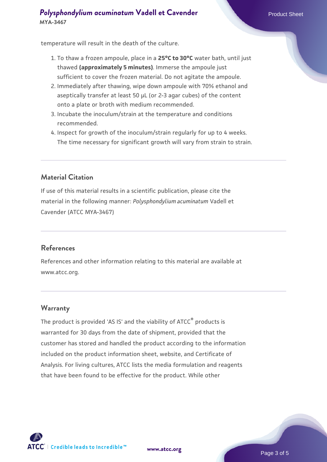# **[Polysphondylium acuminatum](https://www.atcc.org/products/mya-3467) [Vadell et Cavender](https://www.atcc.org/products/mya-3467)** Product Sheet **MYA-3467**

temperature will result in the death of the culture.

- 1. To thaw a frozen ampoule, place in a **25°C to 30°C** water bath, until just thawed **(approximately 5 minutes)**. Immerse the ampoule just sufficient to cover the frozen material. Do not agitate the ampoule.
- 2. Immediately after thawing, wipe down ampoule with 70% ethanol and aseptically transfer at least 50 µL (or 2-3 agar cubes) of the content onto a plate or broth with medium recommended.
- 3. Incubate the inoculum/strain at the temperature and conditions recommended.
- 4. Inspect for growth of the inoculum/strain regularly for up to 4 weeks. The time necessary for significant growth will vary from strain to strain.

# **Material Citation**

If use of this material results in a scientific publication, please cite the material in the following manner: *Polysphondylium acuminatum* Vadell et Cavender (ATCC MYA-3467)

#### **References**

References and other information relating to this material are available at www.atcc.org.

#### **Warranty**

The product is provided 'AS IS' and the viability of ATCC® products is warranted for 30 days from the date of shipment, provided that the customer has stored and handled the product according to the information included on the product information sheet, website, and Certificate of Analysis. For living cultures, ATCC lists the media formulation and reagents that have been found to be effective for the product. While other

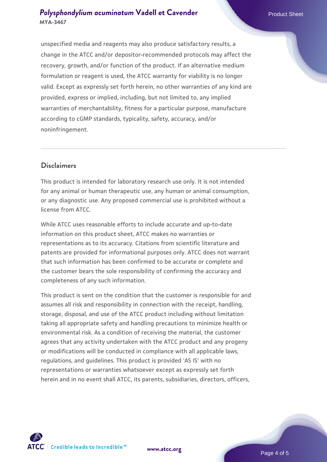# **[Polysphondylium acuminatum](https://www.atcc.org/products/mya-3467) [Vadell et Cavender](https://www.atcc.org/products/mya-3467)** Product Sheet **MYA-3467**

unspecified media and reagents may also produce satisfactory results, a change in the ATCC and/or depositor-recommended protocols may affect the recovery, growth, and/or function of the product. If an alternative medium formulation or reagent is used, the ATCC warranty for viability is no longer valid. Except as expressly set forth herein, no other warranties of any kind are provided, express or implied, including, but not limited to, any implied warranties of merchantability, fitness for a particular purpose, manufacture according to cGMP standards, typicality, safety, accuracy, and/or noninfringement.

# **Disclaimers**

This product is intended for laboratory research use only. It is not intended for any animal or human therapeutic use, any human or animal consumption, or any diagnostic use. Any proposed commercial use is prohibited without a license from ATCC.

While ATCC uses reasonable efforts to include accurate and up-to-date information on this product sheet, ATCC makes no warranties or representations as to its accuracy. Citations from scientific literature and patents are provided for informational purposes only. ATCC does not warrant that such information has been confirmed to be accurate or complete and the customer bears the sole responsibility of confirming the accuracy and completeness of any such information.

This product is sent on the condition that the customer is responsible for and assumes all risk and responsibility in connection with the receipt, handling, storage, disposal, and use of the ATCC product including without limitation taking all appropriate safety and handling precautions to minimize health or environmental risk. As a condition of receiving the material, the customer agrees that any activity undertaken with the ATCC product and any progeny or modifications will be conducted in compliance with all applicable laws, regulations, and guidelines. This product is provided 'AS IS' with no representations or warranties whatsoever except as expressly set forth herein and in no event shall ATCC, its parents, subsidiaries, directors, officers,



**[www.atcc.org](http://www.atcc.org)**

Page 4 of 5